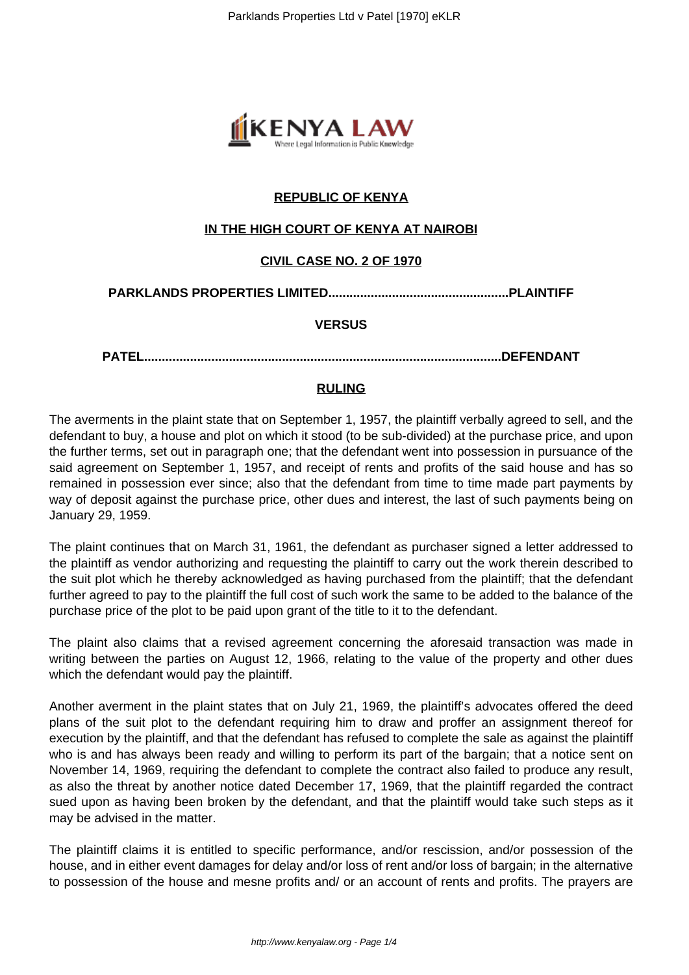

# **REPUBLIC OF KENYA**

## **IN THE HIGH COURT OF KENYA AT NAIROBI**

## **CIVIL CASE NO. 2 OF 1970**

## **PARKLANDS PROPERTIES LIMITED...................................................PLAINTIFF**

### **VERSUS**

**PATEL.....................................................................................................DEFENDANT**

### **RULING**

The averments in the plaint state that on September 1, 1957, the plaintiff verbally agreed to sell, and the defendant to buy, a house and plot on which it stood (to be sub-divided) at the purchase price, and upon the further terms, set out in paragraph one; that the defendant went into possession in pursuance of the said agreement on September 1, 1957, and receipt of rents and profits of the said house and has so remained in possession ever since; also that the defendant from time to time made part payments by way of deposit against the purchase price, other dues and interest, the last of such payments being on January 29, 1959.

The plaint continues that on March 31, 1961, the defendant as purchaser signed a letter addressed to the plaintiff as vendor authorizing and requesting the plaintiff to carry out the work therein described to the suit plot which he thereby acknowledged as having purchased from the plaintiff; that the defendant further agreed to pay to the plaintiff the full cost of such work the same to be added to the balance of the purchase price of the plot to be paid upon grant of the title to it to the defendant.

The plaint also claims that a revised agreement concerning the aforesaid transaction was made in writing between the parties on August 12, 1966, relating to the value of the property and other dues which the defendant would pay the plaintiff.

Another averment in the plaint states that on July 21, 1969, the plaintiff's advocates offered the deed plans of the suit plot to the defendant requiring him to draw and proffer an assignment thereof for execution by the plaintiff, and that the defendant has refused to complete the sale as against the plaintiff who is and has always been ready and willing to perform its part of the bargain; that a notice sent on November 14, 1969, requiring the defendant to complete the contract also failed to produce any result, as also the threat by another notice dated December 17, 1969, that the plaintiff regarded the contract sued upon as having been broken by the defendant, and that the plaintiff would take such steps as it may be advised in the matter.

The plaintiff claims it is entitled to specific performance, and/or rescission, and/or possession of the house, and in either event damages for delay and/or loss of rent and/or loss of bargain; in the alternative to possession of the house and mesne profits and/ or an account of rents and profits. The prayers are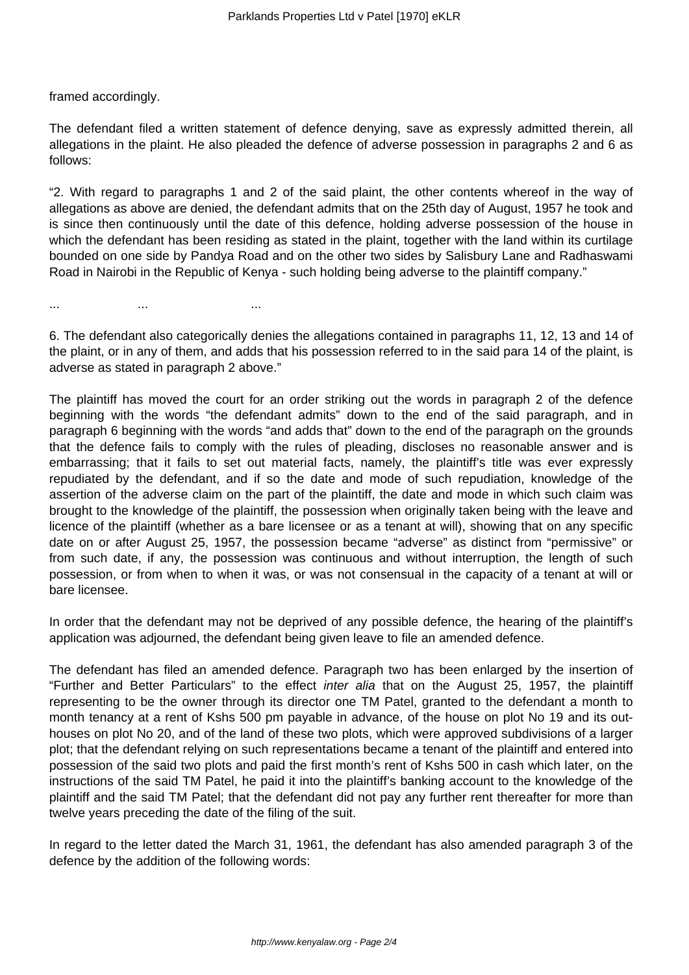framed accordingly.

The defendant filed a written statement of defence denying, save as expressly admitted therein, all allegations in the plaint. He also pleaded the defence of adverse possession in paragraphs 2 and 6 as follows:

"2. With regard to paragraphs 1 and 2 of the said plaint, the other contents whereof in the way of allegations as above are denied, the defendant admits that on the 25th day of August, 1957 he took and is since then continuously until the date of this defence, holding adverse possession of the house in which the defendant has been residing as stated in the plaint, together with the land within its curtilage bounded on one side by Pandya Road and on the other two sides by Salisbury Lane and Radhaswami Road in Nairobi in the Republic of Kenya - such holding being adverse to the plaintiff company."

... ... ...

6. The defendant also categorically denies the allegations contained in paragraphs 11, 12, 13 and 14 of the plaint, or in any of them, and adds that his possession referred to in the said para 14 of the plaint, is adverse as stated in paragraph 2 above."

The plaintiff has moved the court for an order striking out the words in paragraph 2 of the defence beginning with the words "the defendant admits" down to the end of the said paragraph, and in paragraph 6 beginning with the words "and adds that" down to the end of the paragraph on the grounds that the defence fails to comply with the rules of pleading, discloses no reasonable answer and is embarrassing; that it fails to set out material facts, namely, the plaintiff's title was ever expressly repudiated by the defendant, and if so the date and mode of such repudiation, knowledge of the assertion of the adverse claim on the part of the plaintiff, the date and mode in which such claim was brought to the knowledge of the plaintiff, the possession when originally taken being with the leave and licence of the plaintiff (whether as a bare licensee or as a tenant at will), showing that on any specific date on or after August 25, 1957, the possession became "adverse" as distinct from "permissive" or from such date, if any, the possession was continuous and without interruption, the length of such possession, or from when to when it was, or was not consensual in the capacity of a tenant at will or bare licensee.

In order that the defendant may not be deprived of any possible defence, the hearing of the plaintiff's application was adjourned, the defendant being given leave to file an amended defence.

The defendant has filed an amended defence. Paragraph two has been enlarged by the insertion of "Further and Better Particulars" to the effect inter alia that on the August 25, 1957, the plaintiff representing to be the owner through its director one TM Patel, granted to the defendant a month to month tenancy at a rent of Kshs 500 pm payable in advance, of the house on plot No 19 and its outhouses on plot No 20, and of the land of these two plots, which were approved subdivisions of a larger plot; that the defendant relying on such representations became a tenant of the plaintiff and entered into possession of the said two plots and paid the first month's rent of Kshs 500 in cash which later, on the instructions of the said TM Patel, he paid it into the plaintiff's banking account to the knowledge of the plaintiff and the said TM Patel; that the defendant did not pay any further rent thereafter for more than twelve years preceding the date of the filing of the suit.

In regard to the letter dated the March 31, 1961, the defendant has also amended paragraph 3 of the defence by the addition of the following words: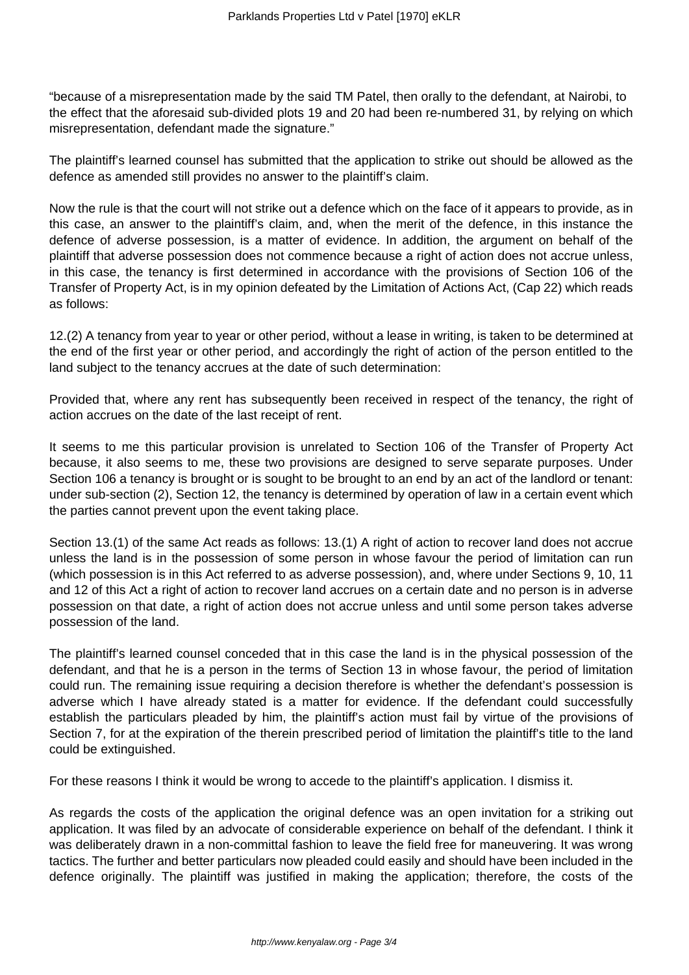"because of a misrepresentation made by the said TM Patel, then orally to the defendant, at Nairobi, to the effect that the aforesaid sub-divided plots 19 and 20 had been re-numbered 31, by relying on which misrepresentation, defendant made the signature."

The plaintiff's learned counsel has submitted that the application to strike out should be allowed as the defence as amended still provides no answer to the plaintiff's claim.

Now the rule is that the court will not strike out a defence which on the face of it appears to provide, as in this case, an answer to the plaintiff's claim, and, when the merit of the defence, in this instance the defence of adverse possession, is a matter of evidence. In addition, the argument on behalf of the plaintiff that adverse possession does not commence because a right of action does not accrue unless, in this case, the tenancy is first determined in accordance with the provisions of Section 106 of the Transfer of Property Act, is in my opinion defeated by the Limitation of Actions Act, (Cap 22) which reads as follows:

12.(2) A tenancy from year to year or other period, without a lease in writing, is taken to be determined at the end of the first year or other period, and accordingly the right of action of the person entitled to the land subject to the tenancy accrues at the date of such determination:

Provided that, where any rent has subsequently been received in respect of the tenancy, the right of action accrues on the date of the last receipt of rent.

It seems to me this particular provision is unrelated to Section 106 of the Transfer of Property Act because, it also seems to me, these two provisions are designed to serve separate purposes. Under Section 106 a tenancy is brought or is sought to be brought to an end by an act of the landlord or tenant: under sub-section (2), Section 12, the tenancy is determined by operation of law in a certain event which the parties cannot prevent upon the event taking place.

Section 13.(1) of the same Act reads as follows: 13.(1) A right of action to recover land does not accrue unless the land is in the possession of some person in whose favour the period of limitation can run (which possession is in this Act referred to as adverse possession), and, where under Sections 9, 10, 11 and 12 of this Act a right of action to recover land accrues on a certain date and no person is in adverse possession on that date, a right of action does not accrue unless and until some person takes adverse possession of the land.

The plaintiff's learned counsel conceded that in this case the land is in the physical possession of the defendant, and that he is a person in the terms of Section 13 in whose favour, the period of limitation could run. The remaining issue requiring a decision therefore is whether the defendant's possession is adverse which I have already stated is a matter for evidence. If the defendant could successfully establish the particulars pleaded by him, the plaintiff's action must fail by virtue of the provisions of Section 7, for at the expiration of the therein prescribed period of limitation the plaintiff's title to the land could be extinguished.

For these reasons I think it would be wrong to accede to the plaintiff's application. I dismiss it.

As regards the costs of the application the original defence was an open invitation for a striking out application. It was filed by an advocate of considerable experience on behalf of the defendant. I think it was deliberately drawn in a non-committal fashion to leave the field free for maneuvering. It was wrong tactics. The further and better particulars now pleaded could easily and should have been included in the defence originally. The plaintiff was justified in making the application; therefore, the costs of the